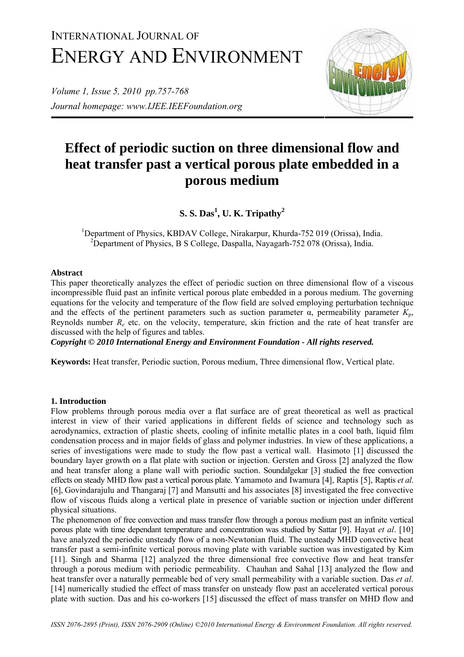# INTERNATIONAL JOURNAL OF ENERGY AND ENVIRONMENT

*Volume 1, Issue 5, 2010 pp.757-768 Journal homepage: www.IJEE.IEEFoundation.org* 



# **Effect of periodic suction on three dimensional flow and heat transfer past a vertical porous plate embedded in a porous medium**

**S. S. Das<sup>1</sup> , U. K. Tripathy<sup>2</sup>**

<sup>1</sup>Department of Physics, KBDAV College, Nirakarpur, Khurda-752 019 (Orissa), India. <sup>2</sup>Department of Physics, B S College, Daspalla, Nayagarh-752 078 (Orissa), India.

# **Abstract**

This paper theoretically analyzes the effect of periodic suction on three dimensional flow of a viscous incompressible fluid past an infinite vertical porous plate embedded in a porous medium. The governing equations for the velocity and temperature of the flow field are solved employing perturbation technique and the effects of the pertinent parameters such as suction parameter  $\alpha$ , permeability parameter  $K_p$ , Reynolds number *Re* etc. on the velocity, temperature, skin friction and the rate of heat transfer are discussed with the help of figures and tables.

*Copyright © 2010 International Energy and Environment Foundation - All rights reserved.*

**Keywords:** Heat transfer, Periodic suction, Porous medium, Three dimensional flow, Vertical plate.

# **1. Introduction**

Flow problems through porous media over a flat surface are of great theoretical as well as practical interest in view of their varied applications in different fields of science and technology such as aerodynamics, extraction of plastic sheets, cooling of infinite metallic plates in a cool bath, liquid film condensation process and in major fields of glass and polymer industries. In view of these applications, a series of investigations were made to study the flow past a vertical wall. Hasimoto [1] discussed the boundary layer growth on a flat plate with suction or injection. Gersten and Gross [2] analyzed the flow and heat transfer along a plane wall with periodic suction. Soundalgekar [3] studied the free convection effects on steady MHD flow past a vertical porous plate. Yamamoto and Iwamura [4], Raptis [5], Raptis *et al*. [6], Govindarajulu and Thangaraj [7] and Mansutti and his associates [8] investigated the free convective flow of viscous fluids along a vertical plate in presence of variable suction or injection under different physical situations.

The phenomenon of free convection and mass transfer flow through a porous medium past an infinite vertical porous plate with time dependant temperature and concentration was studied by Sattar [9]. Hayat *et al*. [10] have analyzed the periodic unsteady flow of a non-Newtonian fluid. The unsteady MHD convective heat transfer past a semi-infinite vertical porous moving plate with variable suction was investigated by Kim [11]. Singh and Sharma [12] analyzed the three dimensional free convective flow and heat transfer through a porous medium with periodic permeability. Chauhan and Sahal [13] analyzed the flow and heat transfer over a naturally permeable bed of very small permeability with a variable suction. Das *et al*. [14] numerically studied the effect of mass transfer on unsteady flow past an accelerated vertical porous plate with suction. Das and his co-workers [15] discussed the effect of mass transfer on MHD flow and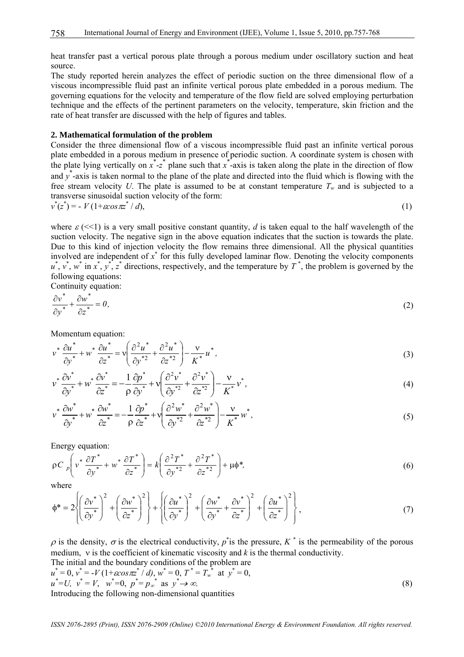heat transfer past a vertical porous plate through a porous medium under oscillatory suction and heat source.

The study reported herein analyzes the effect of periodic suction on the three dimensional flow of a viscous incompressible fluid past an infinite vertical porous plate embedded in a porous medium. The governing equations for the velocity and temperature of the flow field are solved employing perturbation technique and the effects of the pertinent parameters on the velocity, temperature, skin friction and the rate of heat transfer are discussed with the help of figures and tables.

#### **2. Mathematical formulation of the problem**

Consider the three dimensional flow of a viscous incompressible fluid past an infinite vertical porous plate embedded in a porous medium in presence of periodic suction. A coordinate system is chosen with the plate lying vertically on  $x^*$ - $z^*$  plane such that  $x^*$ -axis is taken along the plate in the direction of flow and  $y^*$ -axis is taken normal to the plane of the plate and directed into the fluid which is flowing with the free stream velocity *U*. The plate is assumed to be at constant temperature  $T_w$  and is subjected to a transverse sinusoidal suction velocity of the form: \* \* \*

$$
v^*(z^*) = -V(1+\cos\pi z^*/d),\tag{1}
$$

where  $\varepsilon$  ( $\le$ 1) is a very small positive constant quantity, *d* is taken equal to the half wavelength of the suction velocity. The negative sign in the above equation indicates that the suction is towards the plate. Due to this kind of injection velocity the flow remains three dimensional. All the physical quantities involved are independent of  $x^*$  for this fully developed laminar flow. Denoting the velocity components  $u^*$ ,  $v^*$ ,  $w^*$  in  $x^*$ ,  $y^*$ ,  $z^*$  directions, respectively, and the temperature by  $T^*$ , the problem is governed by the following equations:

Continuity equation:

$$
\frac{\partial v^*}{\partial y^*} + \frac{\partial w^*}{\partial z^*} = 0,\tag{2}
$$

Momentum equation:

$$
v^* \frac{\partial u^*}{\partial y^*} + w^* \frac{\partial u^*}{\partial z^*} = v \left( \frac{\partial^2 u^*}{\partial y^{*2}} + \frac{\partial^2 u^*}{\partial z^{*2}} \right) - \frac{v}{K^*} u^*,
$$
\n(3)

$$
v^* \frac{\partial v^*}{\partial y^*} + w^* \frac{\partial v^*}{\partial z^*} = -\frac{1}{\rho} \frac{\partial p^*}{\partial y^*} + v \left( \frac{\partial^2 v^*}{\partial y^{*2}} + \frac{\partial^2 v^*}{\partial z^{*2}} \right) - \frac{v}{K^*} v^*,
$$
(4)

$$
v^* \frac{\partial w^*}{\partial y^*} + w^* \frac{\partial w^*}{\partial z^*} = -\frac{1}{\rho} \frac{\partial p^*}{\partial z^*} + v \left( \frac{\partial^2 w^*}{\partial y^{*2}} + \frac{\partial^2 w^*}{\partial z^{*2}} \right) - \frac{v}{K^*} w^*,
$$
(5)

Energy equation:

$$
\rho C \, p \left( v^* \, \frac{\partial T^*}{\partial y^*} + w^* \, \frac{\partial T^*}{\partial z^*} \right) = k \left( \frac{\partial^2 T^*}{\partial y^{*2}} + \frac{\partial^2 T^*}{\partial z^{*2}} \right) + \mu \phi^*,\tag{6}
$$

where

$$
\phi^* = 2\left\{\left(\frac{\partial v^*}{\partial y^*}\right)^2 + \left(\frac{\partial w^*}{\partial z^*}\right)^2\right\} + \left\{\left(\frac{\partial u^*}{\partial y^*}\right)^2 + \left(\frac{\partial w^*}{\partial y^*} + \frac{\partial v^*}{\partial z^*}\right)^2 + \left(\frac{\partial u^*}{\partial z^*}\right)^2\right\},\tag{7}
$$

 $\rho$  is the density,  $\sigma$  is the electrical conductivity,  $p^*$  is the pressure,  $K^*$  is the permeability of the porous medium, v is the coefficient of kinematic viscosity and  $k$  is the thermal conductivity. The initial and the boundary conditions of the problem are

$$
u^* = 0, v^* = -V(1 + \cos \pi z^* / d), w^* = 0, T^* = T_w^* \text{ at } y^* = 0,u^* = U, v^* = V, w^* = 0, p^* = p_\infty^* \text{ as } y^* \to \infty.
$$
 (8)

Introducing the following non-dimensional quantities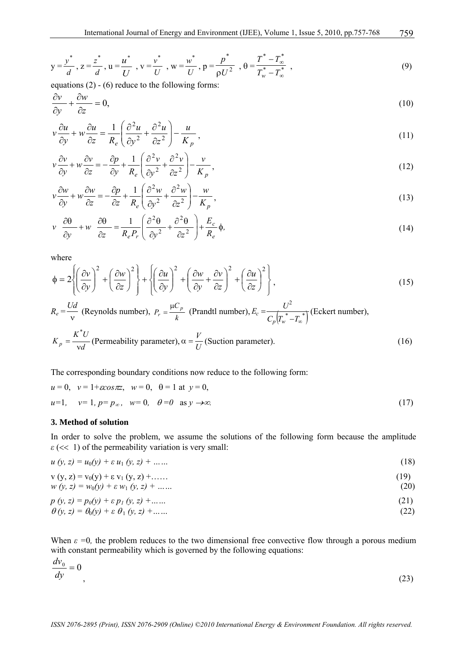$$
y = \frac{y^*}{d}, z = \frac{z^*}{d}, u = \frac{u^*}{U}, v = \frac{v^*}{U}, w = \frac{w^*}{U}, p = \frac{p^*}{\rho U^2}, \theta = \frac{T^* - T_{\infty}^*}{T_w^* - T_{\infty}^*}
$$
 (9)

equations  $(2) - (6)$  reduce to the following forms:

$$
\frac{\partial v}{\partial y} + \frac{\partial w}{\partial z} = 0,\tag{10}
$$

$$
v\frac{\partial u}{\partial y} + w\frac{\partial u}{\partial z} = \frac{1}{R_e} \left( \frac{\partial^2 u}{\partial y^2} + \frac{\partial^2 u}{\partial z^2} \right) - \frac{u}{K_p},\tag{11}
$$

$$
v\frac{\partial v}{\partial y} + w\frac{\partial v}{\partial z} = -\frac{\partial p}{\partial y} + \frac{1}{R_e} \left( \frac{\partial^2 v}{\partial y^2} + \frac{\partial^2 v}{\partial z^2} \right) - \frac{v}{K_p},
$$
\n(12)

$$
v\frac{\partial w}{\partial y} + w\frac{\partial w}{\partial z} = -\frac{\partial p}{\partial z} + \frac{1}{R_e} \left( \frac{\partial^2 w}{\partial y^2} + \frac{\partial^2 w}{\partial z^2} \right) - \frac{w}{K_p},\tag{13}
$$

$$
v \frac{\partial \theta}{\partial y} + w \frac{\partial \theta}{\partial z} = \frac{1}{R_e P_r} \left( \frac{\partial^2 \theta}{\partial y^2} + \frac{\partial^2 \theta}{\partial z^2} \right) + \frac{E_c}{R_e} \phi,
$$
\n(14)

where

$$
\phi = 2\left\{\left(\frac{\partial v}{\partial y}\right)^2 + \left(\frac{\partial w}{\partial z}\right)^2\right\} + \left\{\left(\frac{\partial u}{\partial y}\right)^2 + \left(\frac{\partial w}{\partial y} + \frac{\partial v}{\partial z}\right)^2 + \left(\frac{\partial u}{\partial z}\right)^2\right\},\tag{15}
$$

 $R_e = \frac{Ud}{v}$  (Reynolds number),  $P_r = \frac{\mu C_p}{k}$  (Prandtl number),  $\int_{p}^{} \left(T_{w}^{~*}-T_{\infty}^{~*}\right)$  $E_c = \frac{U^2}{C_p \left(T_w^* - T_{\infty}\right)}$ 2 (Eckert number),

$$
K_p = \frac{K^*U}{vd}
$$
 (Permeability parameter),  $\alpha = \frac{V}{U}$  (Suction parameter). (16)

The corresponding boundary conditions now reduce to the following form:

$$
u = 0
$$
,  $v = 1 + \cos \pi z$ ,  $w = 0$ ,  $\theta = 1$  at  $y = 0$ ,  
\n $u=1$ ,  $v=1$ ,  $p = p_{\infty}$ ,  $w = 0$ ,  $\theta = 0$  as  $y \to \infty$ . (17)

## **3. Method of solution**

In order to solve the problem, we assume the solutions of the following form because the amplitude  $\varepsilon$  (<< 1) of the permeability variation is very small:

| $u(y, z) = u_0(y) + \varepsilon u_1 (y, z) + \dots$                | (18) |
|--------------------------------------------------------------------|------|
| $V(y, z) = V_0(y) + \varepsilon V_1(y, z) + \dots$                 | (19) |
| $w(y, z) = w_0(y) + \varepsilon w_1 (y, z) + \dots$                | (20) |
| $p(y, z) = p_0(y) + \varepsilon p_1(y, z) + $                      | (21) |
| $\theta(y, z) = \theta_0(y) + \varepsilon \theta_1 (y, z) + \dots$ | (22) |

When  $\varepsilon = 0$ , the problem reduces to the two dimensional free convective flow through a porous medium with constant permeability which is governed by the following equations:

$$
\frac{dv_0}{dy} = 0\tag{23}
$$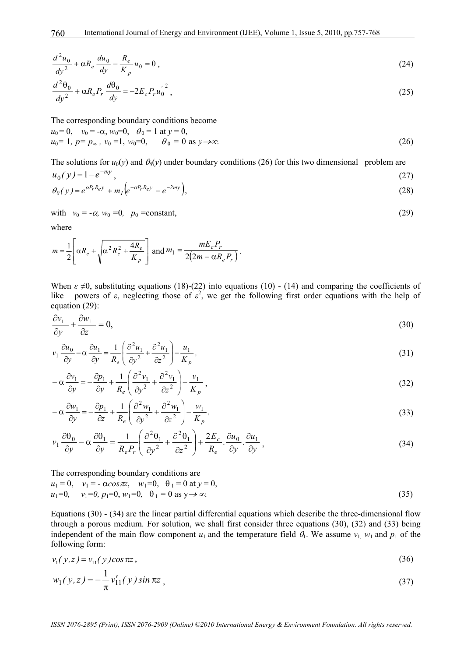$$
\frac{d^2u_0}{dy^2} + \alpha R_e \frac{du_0}{dy} - \frac{R_e}{K_p} u_0 = 0 ,
$$
\n(24)

$$
\frac{d^2\theta_0}{dy^2} + \alpha R_e P_r \frac{d\theta_0}{dy} = -2E_c P_r u_0^2,
$$
\n(25)

The corresponding boundary conditions become

$$
u_0 = 0
$$
,  $v_0 = -\alpha$ ,  $w_0 = 0$ ,  $\theta_0 = 1$  at  $y = 0$ ,  
\n $u_0 = 1$ ,  $p = p_{\infty}$ ,  $v_0 = 1$ ,  $w_0 = 0$ ,  $\theta_0 = 0$  as  $y \to \infty$ . (26)

The solutions for  $u_0(y)$  and  $\theta_0(y)$  under boundary conditions (26) for this two dimensional problem are  $u_0(v) = 1 - e^{-my}$  (27)

$$
\theta_0(y) = e^{\alpha P_r R_{e} y} + m_l \Big( e^{-\alpha P_r R_{e} y} - e^{-2m y} \Big), \tag{28}
$$

with 
$$
v_0 = -\alpha
$$
,  $w_0 = 0$ ,  $p_0 = \text{constant}$ ,  $(29)$ 

where

$$
m = \frac{1}{2} \left[ \alpha R_e + \sqrt{\alpha^2 R_e^2 + \frac{4R_e}{K_p}} \right] \text{ and } m_1 = \frac{mE_c P_r}{2(2m - \alpha R_e P_r)}.
$$

When  $\varepsilon \neq 0$ , substituting equations (18)-(22) into equations (10) - (14) and comparing the coefficients of like powers of  $\varepsilon$ , neglecting those of  $\varepsilon^2$ , we get the following first order equations with the help of equation (29):

$$
\frac{\partial v_1}{\partial y} + \frac{\partial w_1}{\partial z} = 0,\tag{30}
$$

$$
v_1 \frac{\partial u_0}{\partial y} - \alpha \frac{\partial u_1}{\partial y} = \frac{1}{R_e} \left( \frac{\partial^2 u_1}{\partial y^2} + \frac{\partial^2 u_1}{\partial z^2} \right) - \frac{u_1}{K_p},
$$
\n(31)

$$
-\alpha \frac{\partial v_1}{\partial y} = -\frac{\partial p_1}{\partial y} + \frac{1}{R_e} \left( \frac{\partial^2 v_1}{\partial y^2} + \frac{\partial^2 v_1}{\partial z^2} \right) - \frac{v_1}{K_p} ,
$$
\n(32)

$$
-\alpha \frac{\partial w_1}{\partial y} = -\frac{\partial p_1}{\partial z} + \frac{1}{R_e} \left( \frac{\partial^2 w_1}{\partial y^2} + \frac{\partial^2 w_1}{\partial z^2} \right) - \frac{w_1}{K_p},
$$
\n(33)

$$
v_1 \frac{\partial \theta_0}{\partial y} - \alpha \frac{\partial \theta_1}{\partial y} = \frac{1}{R_e P_r} \left( \frac{\partial^2 \theta_1}{\partial y^2} + \frac{\partial^2 \theta_1}{\partial z^2} \right) + \frac{2E_c}{R_e} \cdot \frac{\partial u_0}{\partial y} \cdot \frac{\partial u_1}{\partial y} ,
$$
(34)

The corresponding boundary conditions are  $u_1 = 0$ ,  $v_1 = -\alpha \cos \pi z$ ,  $w_1 = 0$ ,  $\theta_1 = 0$  at  $v = 0$ .

$$
u_1=0
$$
,  $v_1=0$ ,  $p_1=0$ ,  $w_1=0$ ,  $\theta_1=0$  as  $y \to \infty$ . (35)

Equations (30) - (34) are the linear partial differential equations which describe the three-dimensional flow through a porous medium. For solution, we shall first consider three equations (30), (32) and (33) being independent of the main flow component  $u_1$  and the temperature field  $\theta_1$ . We assume  $v_1$ ,  $w_1$  and  $p_1$  of the following form:

$$
v_1(y, z) = v_{11}(y) \cos \pi z, \tag{36}
$$

$$
w_1(y, z) = -\frac{1}{\pi} v_{11}'(y) \sin \pi z \tag{37}
$$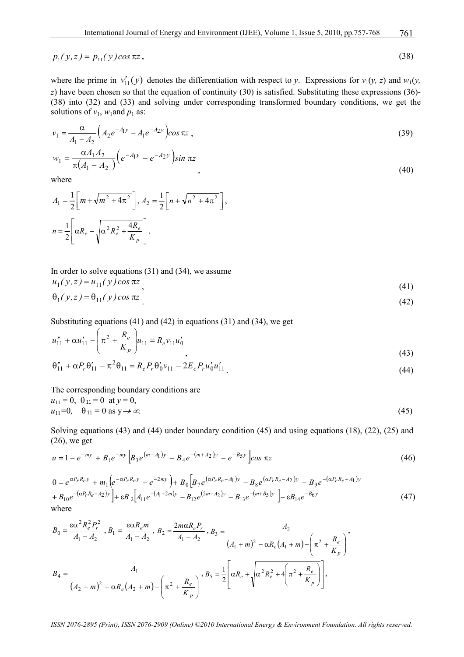$$
p_1(y, z) = p_{11}(y) \cos \pi z, \tag{38}
$$

where the prime in  $v'_{11}(y)$  denotes the differentiation with respect to *y*. Expressions for  $v_1(y, z)$  and  $w_1(y, z)$ *z*) have been chosen so that the equation of continuity (30) is satisfied. Substituting these expressions (36)-(38) into (32) and (33) and solving under corresponding transformed boundary conditions, we get the solutions of  $v_1$ ,  $w_1$  and  $p_1$  as:

$$
v_1 = \frac{\alpha}{A_1 - A_2} \left( A_2 e^{-A_1 y} - A_1 e^{-A_2 y} \right) \cos \pi z ,
$$
\n
$$
\alpha A_1 A_2 \left( A_2 e^{-A_1 y} - A_2 y \right) .
$$
\n(39)

$$
w_1 = \frac{\alpha A_1 A_2}{\pi (A_1 - A_2)} \left( e^{-A_1 y} - e^{-A_2 y} \right) \sin \pi z
$$
\n(40)

where

$$
A_1 = \frac{1}{2} \left[ m + \sqrt{m^2 + 4\pi^2} \right], A_2 = \frac{1}{2} \left[ n + \sqrt{n^2 + 4\pi^2} \right],
$$
  

$$
n = \frac{1}{2} \left[ \alpha R_e - \sqrt{\alpha^2 R_e^2 + \frac{4R_e}{K_p}} \right].
$$

In order to solve equations (31) and (34), we assume

$$
u_1(y, z) = u_{11}(y) \cos \pi z
$$
  
\n
$$
\theta_1(y, z) = \theta_{11}(y) \cos \pi z
$$
 (41)

Substituting equations (41) and (42) in equations (31) and (34), we get

$$
u_{11}'' + \alpha u_{11}' - \left(\pi^2 + \frac{R_e}{K_p}\right)u_{11} = R_e v_{11} u_0'
$$
\n(43)

$$
\theta_{11}'' + \alpha P_r \theta_{11}' - \pi^2 \theta_{11} = R_e P_r \theta_0' v_{11} - 2E_c P_r u_0' u_{11}'.
$$
\n(44)

The corresponding boundary conditions are  $u_{11} = 0$ ,  $\theta_{11} = 0$  at  $y = 0$ ,  $u_{11} = 0$ ,  $\theta_{11} = 0$  as  $y \to \infty$ . (45)

 $2 \times 2 \times 2$ 

Solving equations (43) and (44) under boundary condition (45) and using equations (18), (22), (25) and (26), we get

$$
u = 1 - e^{-my} + B_1 e^{-my} \left[ B_3 e^{(m-A_1)y} - B_4 e^{-(m+A_2)y} - e^{-B_5 y} \right] \cos \pi z \tag{46}
$$

$$
\theta = e^{\alpha P_r R_e y} + m_1 \left( e^{-\alpha P_r R_e y} - e^{-2my} \right) + B_0 \left[ B_7 e^{(\alpha P_r R_e - A_1) y} - B_8 e^{(\alpha P_r R_e - A_2) y} - B_9 e^{-(\alpha P_r R_e + A_1) y} \right] + B_{10} e^{-(\alpha P_r R_e + A_2) y} \Big] + \varepsilon B_2 \left[ A_{11} e^{-(A_1 + 2m)y} - B_{12} e^{(2m - A_2) y} - B_{13} e^{-(m + B_5) y} \right] - \varepsilon B_{14} e^{-B_6 y} \tag{47}
$$
\nwhere

$$
B_0 = \frac{\varepsilon \alpha^2 R_e^2 P_r^2}{A_1 - A_2}, B_1 = \frac{\varepsilon \alpha R_e m}{A_1 - A_2}, B_2 = \frac{2m \alpha R_e P_r}{A_1 - A_2}, B_3 = \frac{A_2}{(A_1 + m)^2 - \alpha R_e (A_1 + m) - \left(\pi^2 + \frac{R_e}{K_p}\right)},
$$
  

$$
B_4 = \frac{A_1}{(A_2 + m)^2 + \alpha R_e (A_2 + m) - \left(\pi^2 + \frac{R_e}{K_p}\right)}, B_5 = \frac{1}{2} \left[\alpha R_e + \sqrt{\alpha^2 R_e^2 + 4\left(\pi^2 + \frac{R_e}{K_p}\right)}\right],
$$

*ISSN 2076-2895 (Print), ISSN 2076-2909 (Online) ©2010 International Energy & Environment Foundation. All rights reserved.*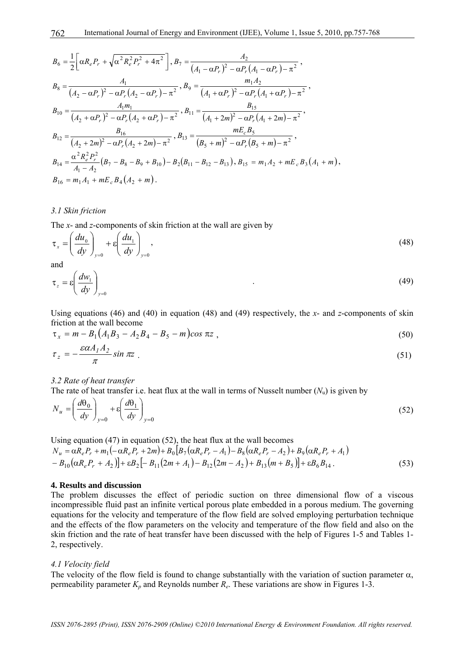$$
B_{6} = \frac{1}{2} \left[ \alpha R_{e} P_{r} + \sqrt{\alpha^{2} R_{e}^{2} P_{r}^{2} + 4\pi^{2}} \right], B_{7} = \frac{A_{2}}{(A_{1} - \alpha P_{r})^{2} - \alpha P_{r} (A_{1} - \alpha P_{r}) - \pi^{2}},
$$
  
\n
$$
B_{8} = \frac{A_{1}}{(A_{2} - \alpha P_{r})^{2} - \alpha P_{r} (A_{2} - \alpha P_{r}) - \pi^{2}}, B_{9} = \frac{m_{1} A_{2}}{(A_{1} + \alpha P_{r})^{2} - \alpha P_{r} (A_{1} + \alpha P_{r}) - \pi^{2}},
$$
  
\n
$$
B_{10} = \frac{A_{1} m_{1}}{(A_{2} + \alpha P_{r})^{2} - \alpha P_{r} (A_{2} + \alpha P_{r}) - \pi^{2}}, B_{11} = \frac{B_{15}}{(A_{1} + 2m)^{2} - \alpha P_{r} (A_{1} + 2m) - \pi^{2}},
$$
  
\n
$$
B_{12} = \frac{B_{16}}{(A_{2} + 2m)^{2} - \alpha P_{r} (A_{2} + 2m) - \pi^{2}}, B_{13} = \frac{m E_{c} B_{5}}{(B_{5} + m)^{2} - \alpha P_{r} (B_{5} + m) - \pi^{2}},
$$
  
\n
$$
B_{14} = \frac{\alpha^{2} R_{e}^{2} P_{r}^{2}}{A_{1} - A_{2}} (B_{7} - B_{8} - B_{9} + B_{10}) - B_{2} (B_{11} - B_{12} - B_{13}), B_{15} = m_{1} A_{2} + m E_{c} B_{3} (A_{1} + m),
$$
  
\n
$$
B_{16} = m_{1} A_{1} + m E_{c} B_{4} (A_{2} + m).
$$

#### *3.1 Skin friction*

The *x*- and *z*-components of skin friction at the wall are given by

$$
\tau_x = \left(\frac{du_0}{dy}\right)_{y=0} + \varepsilon \left(\frac{du_1}{dy}\right)_{y=0},\tag{48}
$$

and

$$
\tau_z = \varepsilon \left( \frac{dw_1}{dy} \right)_{y=0} \tag{49}
$$

Using equations (46) and (40) in equation (48) and (49) respectively, the *x*- and *z*-components of skin friction at the wall become

$$
\tau_x = m - B_1 \left( A_1 B_3 - A_2 B_4 - B_5 - m \right) \cos \pi z \tag{50}
$$

$$
\tau_z = -\frac{\varepsilon \alpha A_1 A_2}{\pi} \sin \pi z \tag{51}
$$

#### *3.2 Rate of heat transfer*

The rate of heat transfer i.e. heat flux at the wall in terms of Nusselt number  $(N<sub>u</sub>)$  is given by

$$
N_u = \left(\frac{d\theta_0}{dy}\right)_{y=0} + \varepsilon \left(\frac{d\theta_1}{dy}\right)_{y=0}
$$
\n(52)

Using equation (47) in equation (52), the heat flux at the wall becomes  $N_u = \alpha R_e P_r + m_1 \left( -\alpha R_e P_r + 2m \right) + B_0 \left[ B_7 \left( \alpha R_e P_r - A_1 \right) - B_8 \left( \alpha R_e P_r - A_2 \right) + B_9 \left( \alpha R_e P_r + A_1 \right) \right]$  $-B_{10} (\alpha R_e P_r + A_2) + \varepsilon B_2 [-B_{11} (2m + A_1) - B_{12} (2m - A_2) + B_{13} (m + B_5)] + \varepsilon B_6 B_{14}$  . (53)

#### **4. Results and discussion**

The problem discusses the effect of periodic suction on three dimensional flow of a viscous incompressible fluid past an infinite vertical porous plate embedded in a porous medium. The governing equations for the velocity and temperature of the flow field are solved employing perturbation technique and the effects of the flow parameters on the velocity and temperature of the flow field and also on the skin friction and the rate of heat transfer have been discussed with the help of Figures 1-5 and Tables 1- 2, respectively.

#### *4.1 Velocity field*

The velocity of the flow field is found to change substantially with the variation of suction parameter  $\alpha$ , permeability parameter  $K_p$  and Reynolds number  $R_e$ . These variations are show in Figures 1-3.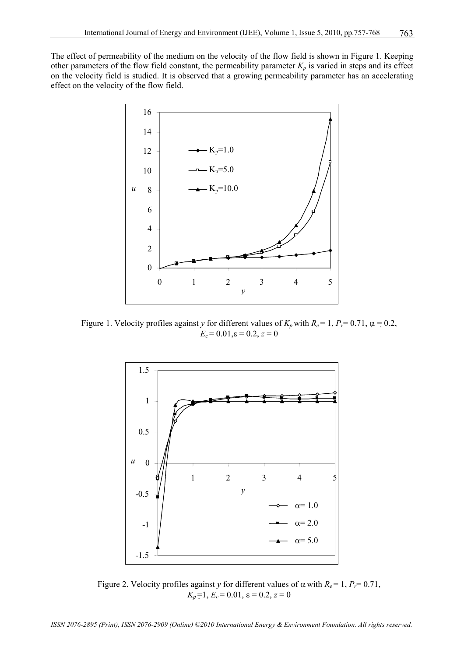The effect of permeability of the medium on the velocity of the flow field is shown in Figure 1. Keeping other parameters of the flow field constant, the permeability parameter  $K_p$  is varied in steps and its effect on the velocity field is studied. It is observed that a growing permeability parameter has an accelerating effect on the velocity of the flow field.



Figure 1. Velocity profiles against *y* for different values of  $K_p$  with  $R_e = 1$ ,  $P_r = 0.71$ ,  $\alpha = 0.2$ ,  $E_c = 0.01$ ,  $\varepsilon = 0.2$ ,  $z = 0$ 



Figure 2. Velocity profiles against *y* for different values of  $\alpha$  with  $R_e = 1$ ,  $P_r = 0.71$ ,  $K_p = 1, E_c = 0.01, \varepsilon = 0.2, z = 0$ 

*ISSN 2076-2895 (Print), ISSN 2076-2909 (Online) ©2010 International Energy & Environment Foundation. All rights reserved.*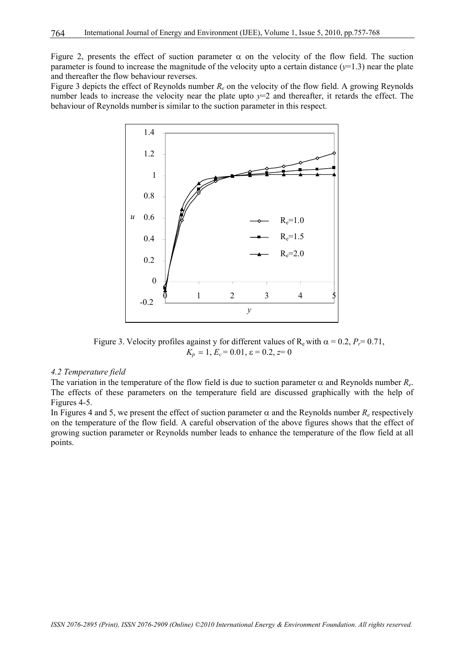Figure 2, presents the effect of suction parameter  $\alpha$  on the velocity of the flow field. The suction parameter is found to increase the magnitude of the velocity upto a certain distance  $(y=1.3)$  near the plate and thereafter the flow behaviour reverses.

Figure 3 depicts the effect of Reynolds number *Re* on the velocity of the flow field. A growing Reynolds number leads to increase the velocity near the plate upto *y*=2 and thereafter, it retards the effect. The behaviour of Reynolds number is similar to the suction parameter in this respect.



Figure 3. Velocity profiles against y for different values of  $R_e$  with  $\alpha = 0.2$ ,  $P_r = 0.71$ ,  $K_p = 1, E_c = 0.01, \varepsilon = 0.2, z = 0$ 

#### *4.2 Temperature field*

The variation in the temperature of the flow field is due to suction parameter  $\alpha$  and Reynolds number  $R_e$ . The effects of these parameters on the temperature field are discussed graphically with the help of Figures 4-5.

In Figures 4 and 5, we present the effect of suction parameter  $\alpha$  and the Reynolds number  $R_e$  respectively on the temperature of the flow field. A careful observation of the above figures shows that the effect of growing suction parameter or Reynolds number leads to enhance the temperature of the flow field at all points.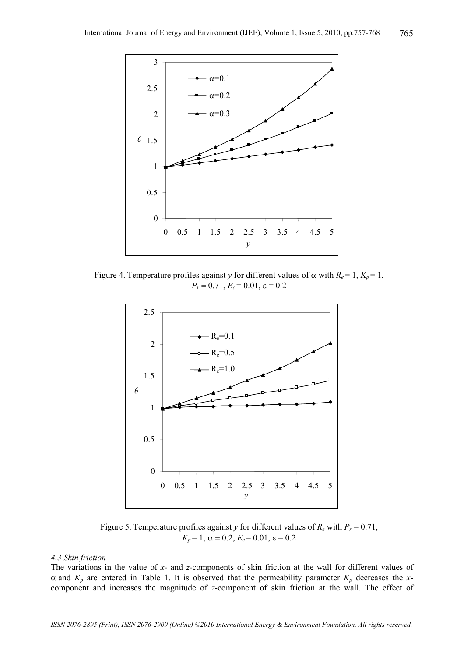

Figure 4. Temperature profiles against *y* for different values of  $\alpha$  with  $R_e = 1$ ,  $K_p = 1$ ,  $P_r = 0.71$ ,  $E_c = 0.01$ ,  $\varepsilon = 0.2$ 



Figure 5. Temperature profiles against *y* for different values of  $R_e$  with  $P_r = 0.71$ ,  $K_p = 1$ ,  $\alpha = 0.2$ ,  $E_c = 0.01$ ,  $\epsilon = 0.2$ 

#### *4.3 Skin friction*

The variations in the value of *x*- and *z*-components of skin friction at the wall for different values of  $\alpha$  and  $K_p$  are entered in Table 1. It is observed that the permeability parameter  $K_p$  decreases the *x*component and increases the magnitude of *z*-component of skin friction at the wall. The effect of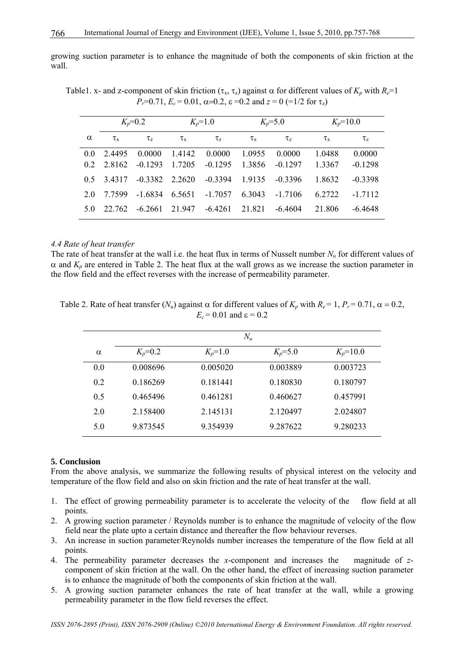growing suction parameter is to enhance the magnitude of both the components of skin friction at the wall.

Table1. x- and z-component of skin friction ( $\tau_x$ ,  $\tau_z$ ) against  $\alpha$  for different values of  $K_p$  with  $R_e$ =1 *P<sub>r</sub>*=0.71,  $E_c$  = 0.01,  $\alpha$ =0.2,  $\varepsilon$  =0.2 and  $z$  = 0 (=1/2 for  $\tau_z$ )

|          |                | $K_p = 0.2$      |                | $K_p = 1.0$ |                | $K_p = 5.0$ |                | $K_p = 10.0$ |
|----------|----------------|------------------|----------------|-------------|----------------|-------------|----------------|--------------|
| $\alpha$ | $\tau_{\rm x}$ | $\tau_z$         | $\tau_{\rm x}$ | $\tau_z$    | $\tau_{\rm x}$ | $\tau_z$    | $\tau_{\rm x}$ | $\tau_z$     |
| 0.0      | 2.4495         | 0.0000           | 1.4142         | 0.0000      | 1.0955         | 0.0000      | 1.0488         | 0.0000       |
| 02       | 2.8162         | $-0.1293$        | 1.7205         | $-0.1295$   | 1.3856         | $-0.1297$   | 1.3367         | $-0.1298$    |
| 0.5      | 34317          | $-0.3382$ 2.2620 |                | $-0.3394$   | 1.9135         | $-0.3396$   | 1.8632         | $-0.3398$    |
| 20       | 7 7 5 9 9      | $-1.6834$        | 6.5651         | $-1.7057$   | 6.3043         | $-1.7106$   | 6.2722         | $-1.7112$    |
| 5.0      | 22.762         | $-6.2661$        | 21.947         | $-6.4261$   | 21.821         | $-6.4604$   | 21.806         | $-6.4648$    |

## *4.4 Rate of heat transfer*

The rate of heat transfer at the wall i.e. the heat flux in terms of Nusselt number *Nu* for different values of  $\alpha$  and  $K_p$  are entered in Table 2. The heat flux at the wall grows as we increase the suction parameter in the flow field and the effect reverses with the increase of permeability parameter.

Table 2. Rate of heat transfer  $(N_u)$  against  $\alpha$  for different values of  $K_p$  with  $R_e = 1$ ,  $P_r = 0.71$ ,  $\alpha = 0.2$ ,  $E_c$  = 0.01 and  $\varepsilon$  = 0.2

|          |             | $N_u$       |             |              |
|----------|-------------|-------------|-------------|--------------|
| $\alpha$ | $K_p = 0.2$ | $K_p = 1.0$ | $K_p = 5.0$ | $K_p = 10.0$ |
| 0.0      | 0.008696    | 0.005020    | 0.003889    | 0.003723     |
| 0.2      | 0.186269    | 0.181441    | 0.180830    | 0.180797     |
| 0.5      | 0.465496    | 0.461281    | 0.460627    | 0.457991     |
| 2.0      | 2.158400    | 2.145131    | 2.120497    | 2.024807     |
| 5.0      | 9.873545    | 9.354939    | 9.287622    | 9.280233     |

#### **5. Conclusion**

From the above analysis, we summarize the following results of physical interest on the velocity and temperature of the flow field and also on skin friction and the rate of heat transfer at the wall.

- 1. The effect of growing permeability parameter is to accelerate the velocity of the flow field at all points.
- 2. A growing suction parameter / Reynolds number is to enhance the magnitude of velocity of the flow field near the plate upto a certain distance and thereafter the flow behaviour reverses.
- 3. An increase in suction parameter/Reynolds number increases the temperature of the flow field at all points.
- 4. The permeability parameter decreases the *x*-component and increases the magnitude of *z*component of skin friction at the wall. On the other hand, the effect of increasing suction parameter is to enhance the magnitude of both the components of skin friction at the wall.
- 5. A growing suction parameter enhances the rate of heat transfer at the wall, while a growing permeability parameter in the flow field reverses the effect.